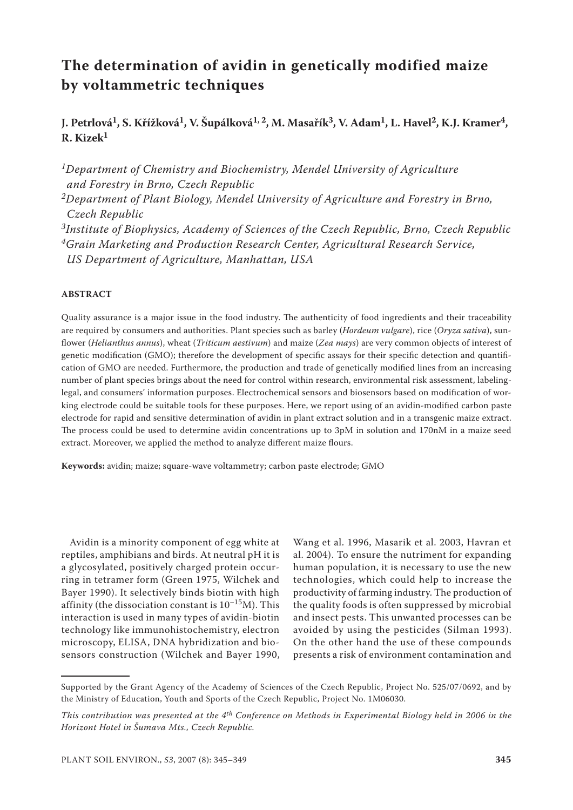# **The determination of avidin in genetically modified maize by voltammetric techniques**

# **J. Petrlová1, S. Křížková1, V. Šupálková1, 2, M. Masařík3, V. Adam1, L. Havel2, K.J. Kramer4, R. Kizek1**

*1Department of Chemistry and Biochemistry, Mendel University of Agriculture and Forestry in Brno, Czech Republic 2Department of Plant Biology, Mendel University of Agriculture and Forestry in Brno,* 

*Czech Republic 3Institute of Biophysics, Academy of Sciences of the Czech Republic, Brno, Czech Republic 4Grain Marketing and Production Research Center, Agricultural Research Service, US Department of Agriculture, Manhattan, USA*

# **ABSTRACT**

Quality assurance is a major issue in the food industry. The authenticity of food ingredients and their traceability are required by consumers and authorities. Plant species such as barley (*Hordeum vulgare*), rice (*Oryza sativa*), sunflower (*Helianthus annus*), wheat (*Triticum aestivum*) and maize (*Zea mays*) are very common objects of interest of genetic modification (GMO); therefore the development of specific assays for their specific detection and quantification of GMO are needed. Furthermore, the production and trade of genetically modified lines from an increasing number of plant species brings about the need for control within research, environmental risk assessment, labelinglegal, and consumers' information purposes. Electrochemical sensors and biosensors based on modification of working electrode could be suitable tools for these purposes. Here, we report using of an avidin-modified carbon paste electrode for rapid and sensitive determination of avidin in plant extract solution and in a transgenic maize extract. The process could be used to determine avidin concentrations up to 3pM in solution and 170nM in a maize seed extract. Moreover, we applied the method to analyze different maize flours.

**Keywords:** avidin; maize; square-wave voltammetry; carbon paste electrode; GMO

Avidin is a minority component of egg white at reptiles, amphibians and birds. At neutral pH it is a glycosylated, positively charged protein occurring in tetramer form (Green 1975, Wilchek and Bayer 1990). It selectively binds biotin with high affinity (the dissociation constant is  $10^{-15}$ M). This interaction is used in many types of avidin-biotin technology like immunohistochemistry, electron microscopy, ELISA, DNA hybridization and biosensors construction (Wilchek and Bayer 1990,

Wang et al. 1996, Masarik et al. 2003, Havran et al. 2004). To ensure the nutriment for expanding human population, it is necessary to use the new technologies, which could help to increase the productivity of farming industry. The production of the quality foods is often suppressed by microbial and insect pests. This unwanted processes can be avoided by using the pesticides (Silman 1993). On the other hand the use of these compounds presents a risk of environment contamination and

Supported by the Grant Agency of the Academy of Sciences of the Czech Republic, Project No. 525/07/0692, and by the Ministry of Education, Youth and Sports of the Czech Republic, Project No. 1M06030*.*

*This contribution was presented at the 4th Conference on Methods in Experimental Biology held in 2006 in the Horizont Hotel in Šumava Mts., Czech Republic.*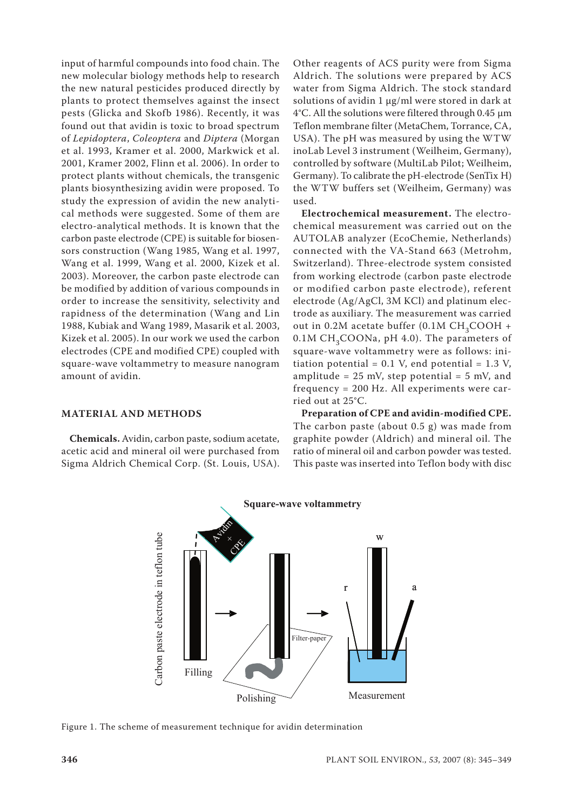input of harmful compounds into food chain. The new molecular biology methods help to research the new natural pesticides produced directly by plants to protect themselves against the insect pests (Glicka and Skofb 1986). Recently, it was found out that avidin is toxic to broad spectrum of *Lepidoptera*, *Coleoptera* and *Diptera* (Morgan et al. 1993, Kramer et al. 2000, Markwick et al. 2001, Kramer 2002, Flinn et al. 2006). In order to protect plants without chemicals, the transgenic plants biosynthesizing avidin were proposed. To study the expression of avidin the new analytical methods were suggested. Some of them are electro-analytical methods. It is known that the carbon paste electrode (CPE) is suitable for biosensors construction (Wang 1985, Wang et al. 1997, Wang et al. 1999, Wang et al. 2000, Kizek et al. 2003). Moreover, the carbon paste electrode can be modified by addition of various compounds in order to increase the sensitivity, selectivity and rapidness of the determination (Wang and Lin 1988, Kubiak and Wang 1989, Masarik et al. 2003, Kizek et al. 2005). In our work we used the carbon electrodes (CPE and modified CPE) coupled with square-wave voltammetry to measure nanogram amount of avidin.

Other reagents of ACS purity were from Sigma Aldrich. The solutions were prepared by ACS water from Sigma Aldrich. The stock standard solutions of avidin 1 µg/ml were stored in dark at 4°C. All the solutions were filtered through 0.45 µm Teflon membrane filter (MetaChem, Torrance, CA, USA). The pH was measured by using the WTW inoLab Level 3 instrument (Weilheim, Germany), controlled by software (MultiLab Pilot; Weilheim, Germany). To calibrate the pH-electrode (SenTix H) the WTW buffers set (Weilheim, Germany) was used.

**Electrochemical measurement.** The electrochemical measurement was carried out on the AUTOLAB analyzer (EcoChemie, Netherlands) connected with the VA-Stand 663 (Metrohm, Switzerland). Three-electrode system consisted from working electrode (carbon paste electrode or modified carbon paste electrode), referent electrode (Ag/AgCl, 3M KCl) and platinum electrode as auxiliary. The measurement was carried out in 0.2M acetate buffer (0.1M  $CH<sub>2</sub>COOH +$  $0.1M CH<sub>3</sub>COONa$ , pH 4.0). The parameters of square-wave voltammetry were as follows: initiation potential =  $0.1$  V, end potential = 1.3 V, amplitude =  $25$  mV, step potential =  $5$  mV, and frequency = 200 Hz. All experiments were carried out at 25°C.

#### **MATERIAL AND METHODS**

**Chemicals.** Avidin, carbon paste, sodium acetate, acetic acid and mineral oil were purchased from Sigma Aldrich Chemical Corp. (St. Louis, USA).

**Preparation of CPE and avidin-modified CPE.**  The carbon paste (about 0.5 g) was made from graphite powder (Aldrich) and mineral oil. The ratio of mineral oil and carbon powder was tested. This paste was inserted into Teflon body with disc

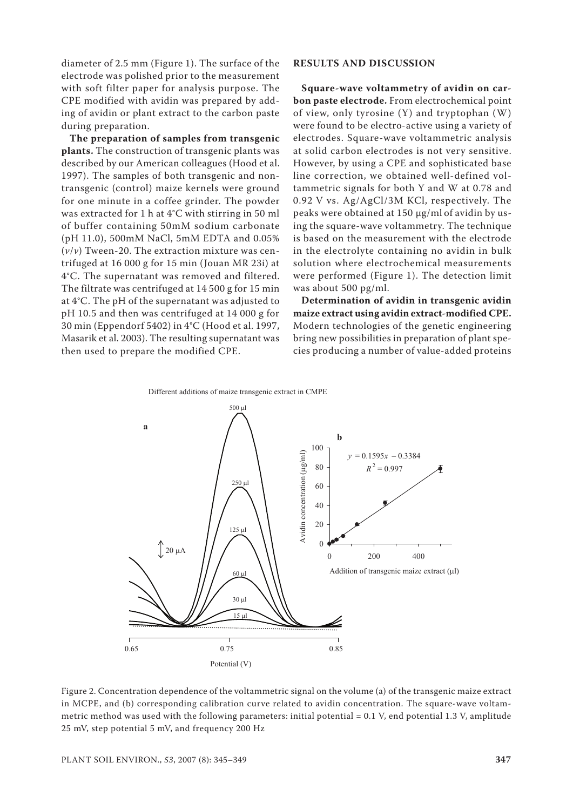diameter of 2.5 mm (Figure 1). The surface of the electrode was polished prior to the measurement with soft filter paper for analysis purpose. The CPE modified with avidin was prepared by adding of avidin or plant extract to the carbon paste during preparation.

**The preparation of samples from transgenic plants.** The construction of transgenic plants was described by our American colleagues (Hood et al. 1997). The samples of both transgenic and nontransgenic (control) maize kernels were ground for one minute in a coffee grinder. The powder was extracted for 1 h at 4°C with stirring in 50 ml of buffer containing 50mM sodium carbonate (pH 11.0), 500mM NaCl, 5mM EDTA and 0.05% (*v*/*v*) Tween-20. The extraction mixture was centrifuged at 16 000 g for 15 min (Jouan MR 23i) at 4°C. The supernatant was removed and filtered. The filtrate was centrifuged at 14 500 g for 15 min at 4°C. The pH of the supernatant was adjusted to pH 10.5 and then was centrifuged at 14 000 g for 30 min (Eppendorf 5402) in 4°C (Hood et al. 1997, Masarik et al. 2003). The resulting supernatant was then used to prepare the modified CPE.

# **RESULTS AND DISCUSSION**

**Square-wave voltammetry of avidin on carbon paste electrode.** From electrochemical point of view, only tyrosine (Y) and tryptophan (W) were found to be electro-active using a variety of electrodes. Square-wave voltammetric analysis at solid carbon electrodes is not very sensitive. However, by using a CPE and sophisticated base line correction, we obtained well-defined voltammetric signals for both Y and W at 0.78 and 0.92 V vs. Ag/AgCl/3M KCl, respectively. The peaks were obtained at 150 µg/ml of avidin by using the square-wave voltammetry. The technique is based on the measurement with the electrode in the electrolyte containing no avidin in bulk solution where electrochemical measurements were performed (Figure 1). The detection limit was about 500 pg/ml.

**Determination of avidin in transgenic avidin maize extract using avidin extract-modified CPE.** Modern technologies of the genetic engineering bring new possibilities in preparation of plant species producing a number of value-added proteins





Figure 2. Concentration dependence of the voltammetric signal on the volume (a) of the transgenic maize extract in MCPE, and (b) corresponding calibration curve related to avidin concentration. The square-wave voltammetric method was used with the following parameters: initial potential = 0.1 V, end potential 1.3 V, amplitude 25 mV, step potential 5 mV, and frequency 200 Hz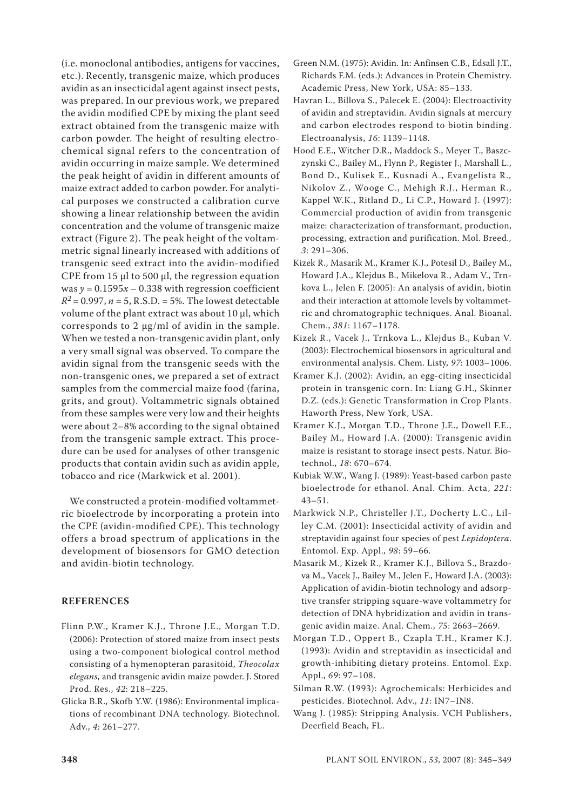(i.e. monoclonal antibodies, antigens for vaccines, etc.). Recently, transgenic maize, which produces avidin as an insecticidal agent against insect pests, was prepared. In our previous work, we prepared the avidin modified CPE by mixing the plant seed extract obtained from the transgenic maize with carbon powder. The height of resulting electrochemical signal refers to the concentration of avidin occurring in maize sample. We determined the peak height of avidin in different amounts of maize extract added to carbon powder. For analytical purposes we constructed a calibration curve showing a linear relationship between the avidin concentration and the volume of transgenic maize extract (Figure 2). The peak height of the voltammetric signal linearly increased with additions of transgenic seed extract into the avidin-modified CPE from 15 µl to 500 µl, the regression equation was  $y = 0.1595x - 0.338$  with regression coefficient  $R^2 = 0.997$ ,  $n = 5$ , R.S.D. = 5%. The lowest detectable volume of the plant extract was about 10 µl, which corresponds to 2 µg/ml of avidin in the sample. When we tested a non-transgenic avidin plant, only a very small signal was observed. To compare the avidin signal from the transgenic seeds with the non-transgenic ones, we prepared a set of extract samples from the commercial maize food (farina, grits, and grout). Voltammetric signals obtained from these samples were very low and their heights were about 2–8% according to the signal obtained from the transgenic sample extract. This procedure can be used for analyses of other transgenic products that contain avidin such as avidin apple, tobacco and rice (Markwick et al. 2001).

We constructed a protein-modified voltammetric bioelectrode by incorporating a protein into the CPE (avidin-modified CPE). This technology offers a broad spectrum of applications in the development of biosensors for GMO detection and avidin-biotin technology.

# **REFERENCES**

- Flinn P.W., Kramer K.J., Throne J.E., Morgan T.D. (2006): Protection of stored maize from insect pests using a two-component biological control method consisting of a hymenopteran parasitoid, *Theocolax elegans*, and transgenic avidin maize powder. J. Stored Prod. Res., *42*: 218–225.
- Glicka B.R., Skofb Y.W. (1986): Environmental implications of recombinant DNA technology. Biotechnol. Adv., *4*: 261–277.
- Green N.M. (1975): Avidin. In: Anfinsen C.B., Edsall J.T., Richards F.M. (eds.): Advances in Protein Chemistry. Academic Press, New York, USA: 85–133.
- Havran L., Billova S., Palecek E. (2004): Electroactivity of avidin and streptavidin. Avidin signals at mercury and carbon electrodes respond to biotin binding. Electroanalysis, *16*: 1139–1148.
- Hood E.E., Witcher D.R., Maddock S., Meyer T., Baszczynski C., Bailey M., Flynn P., Register J., Marshall L., Bond D., Kulisek E., Kusnadi A., Evangelista R., Nikolov Z., Wooge C., Mehigh R.J., Herman R., Kappel W.K., Ritland D., Li C.P., Howard J. (1997): Commercial production of avidin from transgenic maize: characterization of transformant, production, processing, extraction and purification. Mol. Breed., *3*: 291–306.
- Kizek R., Masarik M., Kramer K.J., Potesil D., Bailey M., Howard J.A., Klejdus B., Mikelova R., Adam V., Trnkova L., Jelen F. (2005): An analysis of avidin, biotin and their interaction at attomole levels by voltammetric and chromatographic techniques. Anal. Bioanal. Chem., *381*: 1167–1178.
- Kizek R., Vacek J., Trnkova L., Klejdus B., Kuban V. (2003): Electrochemical biosensors in agricultural and environmental analysis. Chem. Listy, *97*: 1003–1006.
- Kramer K.J. (2002): Avidin, an egg-citing insecticidal protein in transgenic corn. In: Liang G.H., Skinner D.Z. (eds.): Genetic Transformation in Crop Plants. Haworth Press, New York, USA.
- Kramer K.J., Morgan T.D., Throne J.E., Dowell F.E., Bailey M., Howard J.A. (2000): Transgenic avidin maize is resistant to storage insect pests. Natur. Biotechnol., *18*: 670–674.
- Kubiak W.W., Wang J. (1989): Yeast-based carbon paste bioelectrode for ethanol. Anal. Chim. Acta, *221*:  $43 - 51$ .
- Markwick N.P., Christeller J.T., Docherty L.C., Lilley C.M. (2001): Insecticidal activity of avidin and streptavidin against four species of pest *Lepidoptera*. Entomol. Exp. Appl., *98*: 59–66.
- Masarik M., Kizek R., Kramer K.J., Billova S., Brazdova M., Vacek J., Bailey M., Jelen F., Howard J.A. (2003): Application of avidin-biotin technology and adsorptive transfer stripping square-wave voltammetry for detection of DNA hybridization and avidin in transgenic avidin maize. Anal. Chem., *75*: 2663–2669.
- Morgan T.D., Oppert B., Czapla T.H., Kramer K.J. (1993): Avidin and streptavidin as insecticidal and growth-inhibiting dietary proteins. Entomol. Exp. Appl., *69*: 97–108.
- Silman R.W. (1993): Agrochemicals: Herbicides and pesticides. Biotechnol. Adv., *11*: IN7–IN8.
- Wang J. (1985): Stripping Analysis. VCH Publishers, Deerfield Beach, FL.